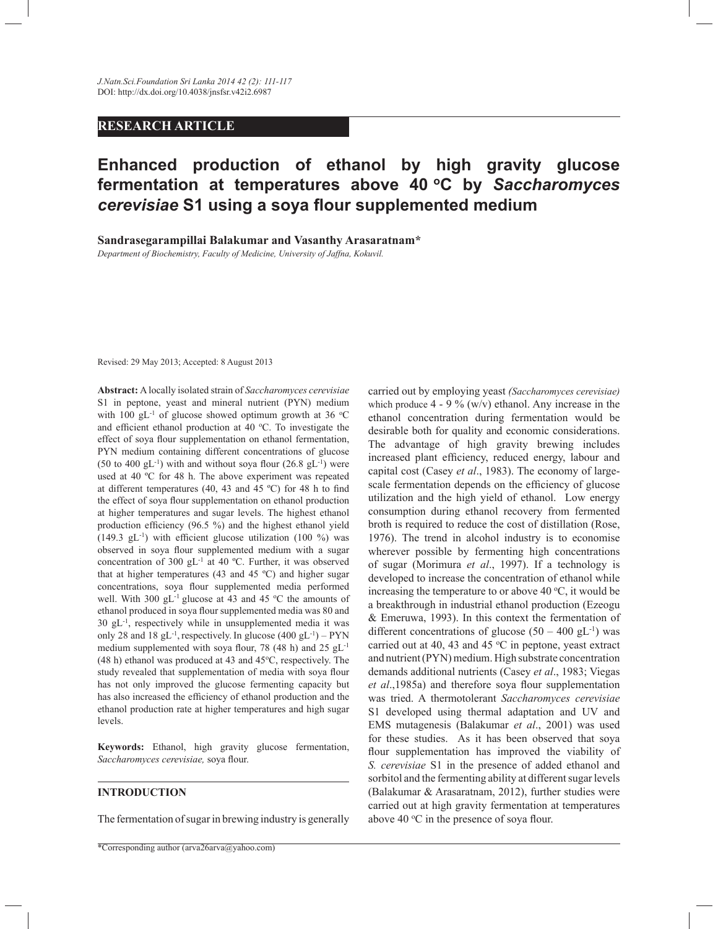# **RESEARCH ARTICLE**

# **Enhanced production of ethanol by high gravity glucose fermentation at temperatures above 40 <sup>o</sup>C by** *Saccharomyces cerevisiae* **S1 using a soya flour supplemented medium**

**Sandrasegarampillai Balakumar and Vasanthy Arasaratnam\*** 

*Department of Biochemistry, Faculty of Medicine, University of Jaffna, Kokuvil.*

Revised: 29 May 2013; Accepted: 8 August 2013

**Abstract:** A locally isolated strain of *Saccharomyces cerevisiae* S1 in peptone, yeast and mineral nutrient (PYN) medium with 100 gL<sup>-1</sup> of glucose showed optimum growth at 36  $^{\circ}$ C and efficient ethanol production at 40  $^{\circ}$ C. To investigate the effect of soya flour supplementation on ethanol fermentation, PYN medium containing different concentrations of glucose  $(50 \text{ to } 400 \text{ gL}^{-1})$  with and without soya flour  $(26.8 \text{ gL}^{-1})$  were used at 40 ºC for 48 h. The above experiment was repeated at different temperatures (40, 43 and 45 ºC) for 48 h to find the effect of soya flour supplementation on ethanol production at higher temperatures and sugar levels. The highest ethanol production efficiency (96.5 %) and the highest ethanol yield  $(149.3 \text{ gL}^{-1})$  with efficient glucose utilization  $(100 \text{ %})$  was observed in soya flour supplemented medium with a sugar concentration of 300 gL-1 at 40 ºC. Further, it was observed that at higher temperatures (43 and 45 ºC) and higher sugar concentrations, soya flour supplemented media performed well. With 300  $gL^{-1}$  glucose at 43 and 45 °C the amounts of ethanol produced in soya flour supplemented media was 80 and 30 gL-1, respectively while in unsupplemented media it was only 28 and 18  $gL^{-1}$ , respectively. In glucose  $(400 \text{ g}L^{-1}) - PYN$ medium supplemented with soya flour, 78 (48 h) and 25 gL<sup>-1</sup>  $(48 h)$  ethanol was produced at 43 and  $45^{\circ}$ C, respectively. The study revealed that supplementation of media with soya flour has not only improved the glucose fermenting capacity but has also increased the efficiency of ethanol production and the ethanol production rate at higher temperatures and high sugar levels.

**Keywords:** Ethanol, high gravity glucose fermentation, *Saccharomyces cerevisiae,* soya flour.

## **INTRODUCTION**

The fermentation of sugar in brewing industry is generally

carried out by employing yeast *(Saccharomyces cerevisiae)*  which produce  $4 - 9\%$  (w/v) ethanol. Any increase in the ethanol concentration during fermentation would be desirable both for quality and economic considerations. The advantage of high gravity brewing includes increased plant efficiency, reduced energy, labour and capital cost (Casey *et al*., 1983). The economy of largescale fermentation depends on the efficiency of glucose utilization and the high yield of ethanol. Low energy consumption during ethanol recovery from fermented broth is required to reduce the cost of distillation (Rose, 1976). The trend in alcohol industry is to economise wherever possible by fermenting high concentrations of sugar (Morimura *et al*., 1997). If a technology is developed to increase the concentration of ethanol while increasing the temperature to or above 40  $\degree$ C, it would be a breakthrough in industrial ethanol production (Ezeogu & Emeruwa, 1993). In this context the fermentation of different concentrations of glucose  $(50 - 400 \text{ gL}^{-1})$  was carried out at 40, 43 and 45  $\rm{^{\circ}C}$  in peptone, yeast extract and nutrient (PYN) medium. High substrate concentration demands additional nutrients (Casey *et al*., 1983; Viegas *et al*.,1985a) and therefore soya flour supplementation was tried. A thermotolerant *Saccharomyces cerevisiae* S1 developed using thermal adaptation and UV and EMS mutagenesis (Balakumar *et al*., 2001) was used for these studies. As it has been observed that soya flour supplementation has improved the viability of *S. cerevisiae* S1 in the presence of added ethanol and sorbitol and the fermenting ability at different sugar levels (Balakumar & Arasaratnam, 2012), further studies were carried out at high gravity fermentation at temperatures above 40  $\degree$ C in the presence of soya flour.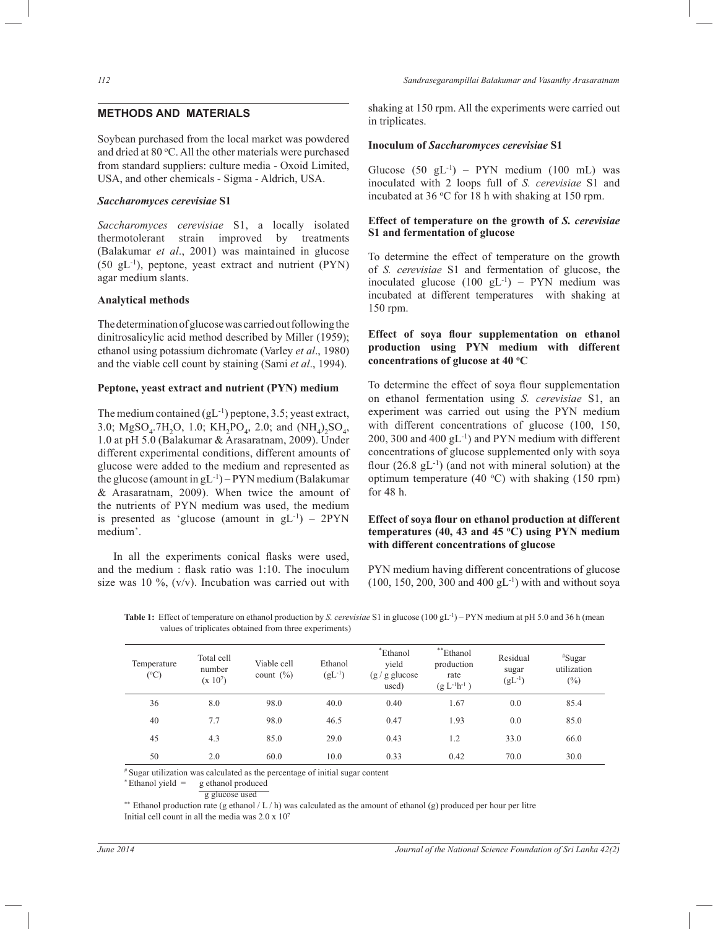# **METHODS AND MATERIALS**

Soybean purchased from the local market was powdered and dried at 80 °C. All the other materials were purchased from standard suppliers: culture media - Oxoid Limited, USA, and other chemicals - Sigma - Aldrich, USA.

#### *Saccharomyces cerevisiae* **S1**

*Saccharomyces cerevisiae* S1, a locally isolated thermotolerant strain improved by treatments (Balakumar *et al*., 2001) was maintained in glucose (50 gL-1), peptone, yeast extract and nutrient (PYN) agar medium slants.

## **Analytical methods**

The determination of glucose was carried out following the dinitrosalicylic acid method described by Miller (1959); ethanol using potassium dichromate (Varley *et al*., 1980) and the viable cell count by staining (Sami *et al*., 1994).

## **Peptone, yeast extract and nutrient (PYN) medium**

The medium contained  $(gL^{-1})$  peptone, 3.5; yeast extract, 3.0; MgSO<sub>4</sub>.7H<sub>2</sub>O, 1.0; KH<sub>2</sub>PO<sub>4</sub>, 2.0; and  $(NH_4)_2SO_4$ , 1.0 at pH 5.0 (Balakumar & Arasaratnam, 2009). Under different experimental conditions, different amounts of glucose were added to the medium and represented as the glucose (amount in  $gL^{-1}$ ) – PYN medium (Balakumar & Arasaratnam, 2009). When twice the amount of the nutrients of PYN medium was used, the medium is presented as 'glucose (amount in  $gL^{-1}$ ) – 2PYN medium'.

 In all the experiments conical flasks were used, and the medium : flask ratio was 1:10. The inoculum size was 10  $\%$ , (v/v). Incubation was carried out with

*112 Sandrasegarampillai Balakumar and Vasanthy Arasaratnam*

shaking at 150 rpm. All the experiments were carried out in triplicates.

#### **Inoculum of** *Saccharomyces cerevisiae* **S1**

Glucose  $(50 \text{ gL}^{-1})$  – PYN medium  $(100 \text{ mL})$  was inoculated with 2 loops full of *S. cerevisiae* S1 and incubated at  $36 °C$  for 18 h with shaking at 150 rpm.

# **Effect of temperature on the growth of** *S. cerevisiae* **S1 and fermentation of glucose**

To determine the effect of temperature on the growth of *S. cerevisiae* S1 and fermentation of glucose, the inoculated glucose  $(100 \text{ gL}^{-1})$  – PYN medium was incubated at different temperatures with shaking at 150 rpm.

# **Effect of soya flour supplementation on ethanol production using PYN medium with different concentrations of glucose at 40 <sup>o</sup>C**

To determine the effect of soya flour supplementation on ethanol fermentation using *S. cerevisiae* S1, an experiment was carried out using the PYN medium with different concentrations of glucose (100, 150, 200, 300 and 400 gL-1) and PYN medium with different concentrations of glucose supplemented only with soya flour  $(26.8 \text{ gL}^{-1})$  (and not with mineral solution) at the optimum temperature (40  $^{\circ}$ C) with shaking (150 rpm) for 48 h.

# **Effect of soya flour on ethanol production at different temperatures (40, 43 and 45 <sup>o</sup>C) using PYN medium with different concentrations of glucose**

PYN medium having different concentrations of glucose  $(100, 150, 200, 300, 400, gL^{-1})$  with and without soya

| Temperature<br>(°C) | Total cell<br>number<br>$(x 10^7)$ | Viable cell<br>count $(\% )$ | Ethanol<br>$(gL^{-1})$ | *Ethanol<br>vield<br>$(g/g$ glucose<br>used) | **Ethanol<br>production<br>rate<br>$(g L^{-1}h^{-1})$ | Residual<br>sugar<br>$(gL^{-1})$ | $*$ Sugar<br>utilization<br>$(\%)$ |
|---------------------|------------------------------------|------------------------------|------------------------|----------------------------------------------|-------------------------------------------------------|----------------------------------|------------------------------------|
| 36                  | 8.0                                | 98.0                         | 40.0                   | 0.40                                         | 1.67                                                  | 0.0                              | 85.4                               |
| 40                  | 7.7                                | 98.0                         | 46.5                   | 0.47                                         | 1.93                                                  | 0.0                              | 85.0                               |
| 45                  | 4.3                                | 85.0                         | 29.0                   | 0.43                                         | 1.2                                                   | 33.0                             | 66.0                               |
| 50                  | 2.0                                | 60.0                         | 10.0                   | 0.33                                         | 0.42                                                  | 70.0                             | 30.0                               |

Table 1: Effect of temperature on ethanol production by *S. cerevisiae* S1 in glucose (100 gL<sup>-1</sup>) – PYN medium at pH 5.0 and 36 h (mean values of triplicates obtained from three experiments)

# Sugar utilization was calculated as the percentage of initial sugar content

 $*$  Ethanol yield  $=$  g ethanol produced

g glucose used

\*\* Ethanol production rate (g ethanol  $/L/h$ ) was calculated as the amount of ethanol (g) produced per hour per litre Initial cell count in all the media was 2.0 x 10<sup>7</sup>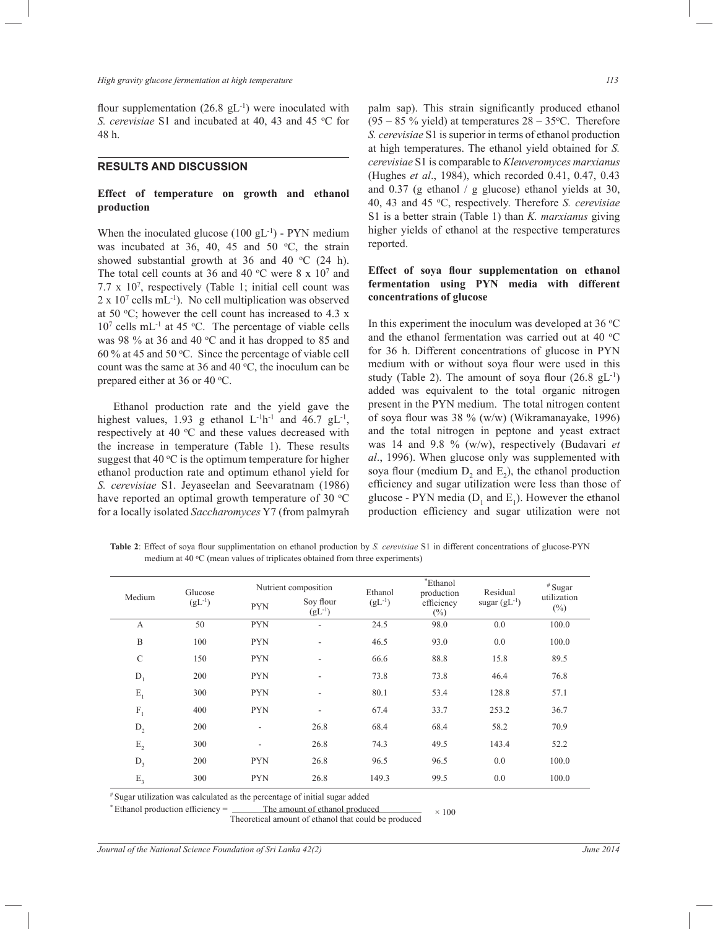flour supplementation  $(26.8 \text{ gL}^{-1})$  were inoculated with *S. cerevisiae* S1 and incubated at 40, 43 and 45 °C for 48 h.

## **RESULTS AND DISCUSSION**

## **Effect of temperature on growth and ethanol production**

When the inoculated glucose  $(100 \text{ gL}^{-1})$  - PYN medium was incubated at 36, 40, 45 and 50  $\degree$ C, the strain showed substantial growth at 36 and 40  $^{\circ}$ C (24 h). The total cell counts at 36 and 40  $\degree$ C were 8 x 10<sup>7</sup> and 7.7  $\times$  10<sup>7</sup>, respectively (Table 1; initial cell count was  $2 \times 10^7$  cells mL<sup>-1</sup>). No cell multiplication was observed at 50  $\degree$ C; however the cell count has increased to 4.3 x  $10<sup>7</sup>$  cells mL<sup>-1</sup> at 45 °C. The percentage of viable cells was 98  $%$  at 36 and 40 °C and it has dropped to 85 and 60 % at 45 and 50 <sup>o</sup>C. Since the percentage of viable cell count was the same at 36 and 40  $\degree$ C, the inoculum can be prepared either at 36 or 40 °C.

 Ethanol production rate and the yield gave the highest values, 1.93 g ethanol  $L^{-1}h^{-1}$  and 46.7 g $L^{-1}$ , respectively at 40  $\degree$ C and these values decreased with the increase in temperature (Table 1). These results suggest that 40  $\mathrm{^{\circ}C}$  is the optimum temperature for higher ethanol production rate and optimum ethanol yield for *S. cerevisiae* S1. Jeyaseelan and Seevaratnam (1986) have reported an optimal growth temperature of 30  $^{\circ}$ C for a locally isolated *Saccharomyces* Y7 (from palmyrah

palm sap). This strain significantly produced ethanol  $(95 - 85\%$  yield) at temperatures  $28 - 35$ °C. Therefore *S. cerevisiae* S1 is superior in terms of ethanol production at high temperatures. The ethanol yield obtained for *S. cerevisiae* S1 is comparable to *Kleuveromyces marxianus* (Hughes *et al*., 1984), which recorded 0.41, 0.47, 0.43 and 0.37 (g ethanol / g glucose) ethanol yields at 30, 40, 43 and 45 <sup>o</sup>C, respectively. Therefore *S. cerevisiae* S1 is a better strain (Table 1) than *K. marxianus* giving higher yields of ethanol at the respective temperatures reported.

# **Effect of soya flour supplementation on ethanol fermentation using PYN media with different concentrations of glucose**

In this experiment the inoculum was developed at  $36^{\circ}$ C and the ethanol fermentation was carried out at 40  $^{\circ}$ C for 36 h. Different concentrations of glucose in PYN medium with or without soya flour were used in this study (Table 2). The amount of soya flour  $(26.8 \text{ gL}^{-1})$ added was equivalent to the total organic nitrogen present in the PYN medium. The total nitrogen content of soya flour was 38 % (w/w) (Wikramanayake, 1996) and the total nitrogen in peptone and yeast extract was 14 and 9.8 % (w/w), respectively (Budavari *et al*., 1996). When glucose only was supplemented with soya flour (medium  $D_2$  and  $E_2$ ), the ethanol production efficiency and sugar utilization were less than those of glucose - PYN media  $(D_1 \text{ and } E_1)$ . However the ethanol production efficiency and sugar utilization were not

**Table 2**: Effect of soya flour supplimentation on ethanol production by *S. cerevisiae* S1 in different concentrations of glucose-PYN medium at  $40^{\circ}$ C (mean values of triplicates obtained from three experiments)

| Medium         | Glucose<br>$(gL^{-1})$ | Nutrient composition     |                          | Ethanol     | *Ethanol<br>production | Residual          | $*$ Sugar             |
|----------------|------------------------|--------------------------|--------------------------|-------------|------------------------|-------------------|-----------------------|
|                |                        | <b>PYN</b>               | Soy flour<br>$(gL^{-1})$ | $(gL^{-1})$ | efficiency<br>$(\%)$   | sugar $(gL^{-1})$ | utilization<br>$(\%)$ |
| А              | 50                     | <b>PYN</b>               | $\overline{\phantom{a}}$ | 24.5        | 98.0                   | 0.0               | 100.0                 |
| B              | 100                    | <b>PYN</b>               | $\overline{\phantom{a}}$ | 46.5        | 93.0                   | 0.0               | 100.0                 |
| $\mathcal{C}$  | 150                    | <b>PYN</b>               | $\overline{\phantom{a}}$ | 66.6        | 88.8                   | 15.8              | 89.5                  |
| $D_1$          | 200                    | <b>PYN</b>               | $\overline{\phantom{a}}$ | 73.8        | 73.8                   | 46.4              | 76.8                  |
| $E_1$          | 300                    | <b>PYN</b>               | $\overline{\phantom{a}}$ | 80.1        | 53.4                   | 128.8             | 57.1                  |
| $F_1$          | 400                    | <b>PYN</b>               | $\overline{\phantom{a}}$ | 67.4        | 33.7                   | 253.2             | 36.7                  |
| $D_2$          | 200                    | $\overline{\phantom{a}}$ | 26.8                     | 68.4        | 68.4                   | 58.2              | 70.9                  |
| $\mathbf{E}_2$ | 300                    | $\overline{\phantom{0}}$ | 26.8                     | 74.3        | 49.5                   | 143.4             | 52.2                  |
| $D_3$          | 200                    | <b>PYN</b>               | 26.8                     | 96.5        | 96.5                   | 0.0               | 100.0                 |
| $E_{3}$        | 300                    | <b>PYN</b>               | 26.8                     | 149.3       | 99.5                   | 0.0               | 100.0                 |

# Sugar utilization was calculated as the percentage of initial sugar added

\* Ethanol production efficiency =  $\frac{\text{The amount of ethanol produced}}{100} \times 100$ 

Theoretical amount of ethanol that could be produced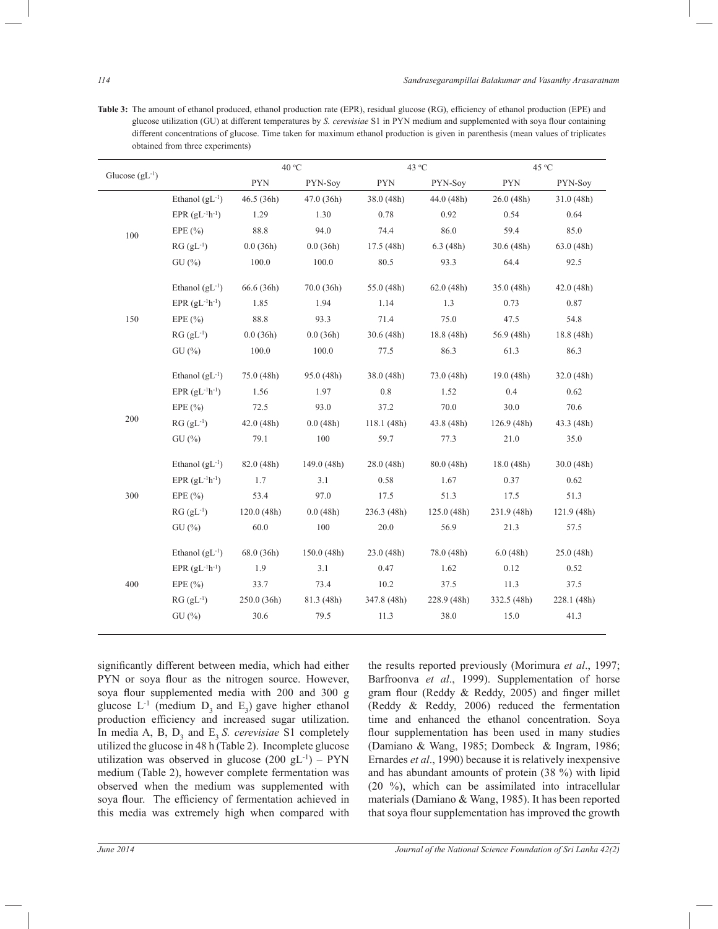Table 3: The amount of ethanol produced, ethanol production rate (EPR), residual glucose (RG), efficiency of ethanol production (EPE) and glucose utilization (GU) at different temperatures by *S. cerevisiae* S1 in PYN medium and supplemented with soya flour containing different concentrations of glucose. Time taken for maximum ethanol production is given in parenthesis (mean values of triplicates obtained from three experiments)

| Glucose $(gL^{-1})$ |                       | 40 °C       |            | 43 °C       |             | 45 °C       |             |
|---------------------|-----------------------|-------------|------------|-------------|-------------|-------------|-------------|
|                     |                       | <b>PYN</b>  | PYN-Soy    | <b>PYN</b>  | PYN-Soy     | <b>PYN</b>  | PYN-Soy     |
|                     | Ethanol $(gL^{-1})$   | 46.5(36h)   | 47.0(36h)  | 38.0 (48h)  | 44.0(48h)   | 26.0(48h)   | 31.0(48h)   |
|                     | EPR $(gL^{-1}h^{-1})$ | 1.29        | 1.30       | 0.78        | 0.92        | 0.54        | 0.64        |
| 100                 | EPE $(\% )$           | 88.8        | 94.0       | 74.4        | 86.0        | 59.4        | 85.0        |
|                     | $RG(gL^{-1})$         | 0.0(36h)    | 0.0(36h)   | 17.5(48h)   | 6.3(48h)    | 30.6(48h)   | 63.0 (48h)  |
|                     | GU(%)                 | 100.0       | 100.0      | 80.5        | 93.3        | 64.4        | 92.5        |
|                     | Ethanol $(gL^{-1})$   | 66.6 (36h)  | 70.0(36h)  | 55.0 (48h)  | 62.0(48h)   | 35.0(48h)   | 42.0(48h)   |
|                     | EPR $(gL^{-1}h^{-1})$ | 1.85        | 1.94       | 1.14        | 1.3         | 0.73        | 0.87        |
| 150                 | EPE $(\% )$           | 88.8        | 93.3       | 71.4        | 75.0        | 47.5        | 54.8        |
|                     | $RG(gL^{-1})$         | 0.0(36h)    | 0.0(36h)   | 30.6(48h)   | 18.8 (48h)  | 56.9 (48h)  | 18.8 (48h)  |
|                     | GU(%)                 | 100.0       | 100.0      | 77.5        | 86.3        | 61.3        | 86.3        |
|                     | Ethanol $(gL^{-1})$   | 75.0 (48h)  | 95.0(48h)  | 38.0 (48h)  | 73.0 (48h)  | 19.0(48h)   | 32.0(48h)   |
| 200                 | EPR $(gL^{-1}h^{-1})$ | 1.56        | 1.97       | 0.8         | 1.52        | 0.4         | 0.62        |
|                     | EPE $(\% )$           | 72.5        | 93.0       | 37.2        | 70.0        | 30.0        | 70.6        |
|                     | $RG(gL^{-1})$         | 42.0(48h)   | 0.0(48h)   | 118.1(48h)  | 43.8 (48h)  | 126.9(48h)  | 43.3 (48h)  |
|                     | GU(%)                 | 79.1        | 100        | 59.7        | 77.3        | 21.0        | 35.0        |
| 300                 | Ethanol $(gL^{-1})$   | 82.0 (48h)  | 149.0(48h) | 28.0 (48h)  | 80.0(48h)   | 18.0(48h)   | 30.0(48h)   |
|                     | EPR $(gL^{-1}h^{-1})$ | 1.7         | 3.1        | 0.58        | 1.67        | 0.37        | 0.62        |
|                     | EPE $(\% )$           | 53.4        | 97.0       | 17.5        | 51.3        | 17.5        | 51.3        |
|                     | $RG(gL^{-1})$         | 120.0(48h)  | 0.0(48h)   | 236.3 (48h) | 125.0(48h)  | 231.9 (48h) | 121.9 (48h) |
|                     | GU(%)                 | 60.0        | 100        | 20.0        | 56.9        | 21.3        | 57.5        |
| 400                 | Ethanol $(gL^{-1})$   | 68.0 (36h)  | 150.0(48h) | 23.0 (48h)  | 78.0 (48h)  | 6.0(48h)    | 25.0 (48h)  |
|                     | EPR $(gL^{-1}h^{-1})$ | 1.9         | 3.1        | 0.47        | 1.62        | 0.12        | 0.52        |
|                     | EPE $(\% )$           | 33.7        | 73.4       | 10.2        | 37.5        | 11.3        | 37.5        |
|                     | $RG(gL^{-1})$         | 250.0 (36h) | 81.3 (48h) | 347.8 (48h) | 228.9 (48h) | 332.5 (48h) | 228.1 (48h) |
|                     | GU(%)                 | 30.6        | 79.5       | 11.3        | 38.0        | 15.0        | 41.3        |

significantly different between media, which had either PYN or soya flour as the nitrogen source. However, soya flour supplemented media with 200 and 300 g glucose  $L^{-1}$  (medium  $D_3$  and  $E_3$ ) gave higher ethanol production efficiency and increased sugar utilization. In media A, B,  $D_3$  and  $E_3 S$ . *cerevisiae* S1 completely utilized the glucose in 48 h (Table 2). Incomplete glucose utilization was observed in glucose  $(200 \text{ gL}^{-1}) - PYN$ medium (Table 2), however complete fermentation was observed when the medium was supplemented with soya flour. The efficiency of fermentation achieved in this media was extremely high when compared with

the results reported previously (Morimura *et al*., 1997; Barfroonva *et al*., 1999). Supplementation of horse gram flour (Reddy & Reddy, 2005) and finger millet (Reddy & Reddy, 2006) reduced the fermentation time and enhanced the ethanol concentration. Soya flour supplementation has been used in many studies (Damiano & Wang, 1985; Dombeck & Ingram, 1986; Ernardes *et al*., 1990) because it is relatively inexpensive and has abundant amounts of protein (38 %) with lipid (20 %), which can be assimilated into intracellular materials (Damiano & Wang, 1985). It has been reported that soya flour supplementation has improved the growth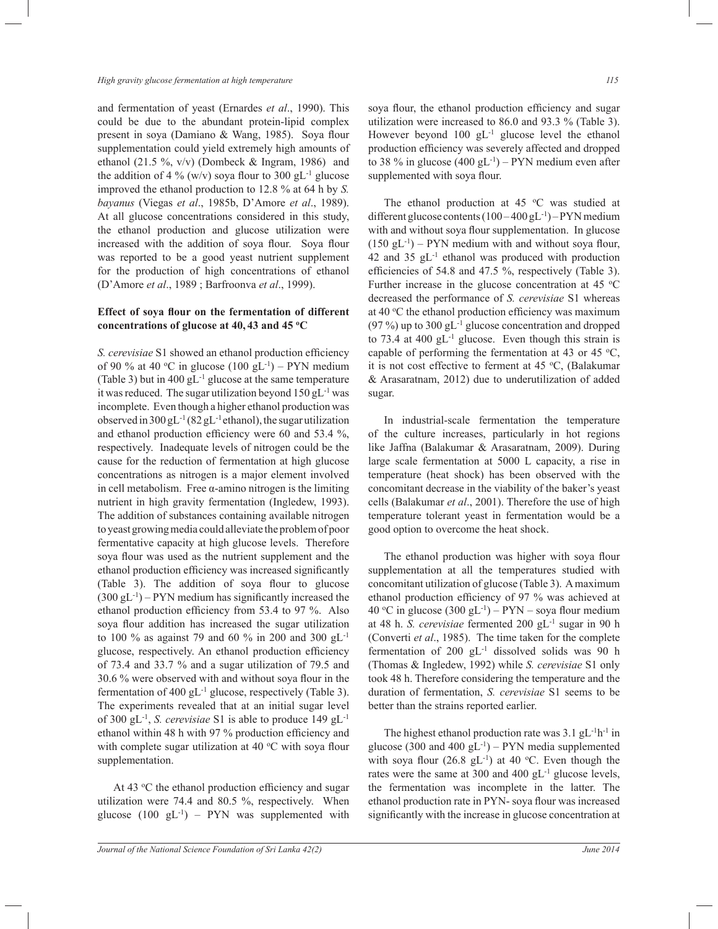and fermentation of yeast (Ernardes *et al*., 1990). This could be due to the abundant protein-lipid complex present in soya (Damiano & Wang, 1985). Soya flour supplementation could yield extremely high amounts of ethanol (21.5 %,  $v/v$ ) (Dombeck & Ingram, 1986) and the addition of 4 % (w/v) soya flour to 300 gL<sup>-1</sup> glucose improved the ethanol production to 12.8 % at 64 h by *S. bayanus* (Viegas *et al*., 1985b, D'Amore *et al*., 1989). At all glucose concentrations considered in this study, the ethanol production and glucose utilization were increased with the addition of soya flour. Soya flour was reported to be a good yeast nutrient supplement for the production of high concentrations of ethanol (D'Amore *et al*., 1989 ; Barfroonva *et al*., 1999).

# **Effect of soya flour on the fermentation of different concentrations of glucose at 40, 43 and 45 <sup>o</sup>C**

*S. cerevisiae* S1 showed an ethanol production efficiency of 90 % at 40 °C in glucose  $(100 \text{ gL}^{-1})$  – PYN medium (Table 3) but in 400 gL-1 glucose at the same temperature it was reduced. The sugar utilization beyond  $150$  gL<sup>-1</sup> was incomplete. Even though a higher ethanol production was observed in  $300 \text{ gL}^{-1}$  (82 gL<sup>-1</sup> ethanol), the sugar utilization and ethanol production efficiency were 60 and 53.4 %, respectively. Inadequate levels of nitrogen could be the cause for the reduction of fermentation at high glucose concentrations as nitrogen is a major element involved in cell metabolism. Free α-amino nitrogen is the limiting nutrient in high gravity fermentation (Ingledew, 1993). The addition of substances containing available nitrogen to yeast growing media could alleviate the problem of poor fermentative capacity at high glucose levels. Therefore soya flour was used as the nutrient supplement and the ethanol production efficiency was increased significantly (Table 3). The addition of soya flour to glucose  $(300 \text{ gL}^{-1})$  – PYN medium has significantly increased the ethanol production efficiency from 53.4 to 97 %. Also soya flour addition has increased the sugar utilization to 100 % as against 79 and 60 % in 200 and 300 gL-1 glucose, respectively. An ethanol production efficiency of 73.4 and 33.7 % and a sugar utilization of 79.5 and 30.6 % were observed with and without soya flour in the fermentation of 400 gL<sup>-1</sup> glucose, respectively (Table 3). The experiments revealed that at an initial sugar level of 300 gL-1 , *S. cerevisiae* S1 is able to produce 149 gL-1 ethanol within 48 h with 97 % production efficiency and with complete sugar utilization at 40  $\rm{^{\circ}C}$  with soya flour supplementation.

At 43 °C the ethanol production efficiency and sugar utilization were 74.4 and 80.5 %, respectively. When glucose  $(100 \text{ gL}^{-1})$  – PYN was supplemented with

soya flour, the ethanol production efficiency and sugar utilization were increased to 86.0 and 93.3 % (Table 3). However beyond 100 gL<sup>-1</sup> glucose level the ethanol production efficiency was severely affected and dropped to 38 % in glucose  $(400 \text{ gL}^{-1})$  – PYN medium even after supplemented with soya flour.

The ethanol production at 45  $\degree$ C was studied at different glucose contents  $(100 - 400 \text{ gL}^{-1})$  – PYN medium with and without soya flour supplementation. In glucose  $(150 \text{ gL}^{-1})$  – PYN medium with and without soya flour, 42 and 35  $gL^{-1}$  ethanol was produced with production efficiencies of 54.8 and 47.5 %, respectively (Table 3). Further increase in the glucose concentration at 45  $\degree$ C decreased the performance of *S. cerevisiae* S1 whereas at 40 °C the ethanol production efficiency was maximum  $(97\%)$  up to 300 gL<sup>-1</sup> glucose concentration and dropped to 73.4 at 400  $gL^{-1}$  glucose. Even though this strain is capable of performing the fermentation at 43 or 45  $^{\circ}C$ , it is not cost effective to ferment at 45  $°C$ , (Balakumar & Arasaratnam, 2012) due to underutilization of added sugar.

 In industrial-scale fermentation the temperature of the culture increases, particularly in hot regions like Jaffna (Balakumar & Arasaratnam, 2009). During large scale fermentation at 5000 L capacity, a rise in temperature (heat shock) has been observed with the concomitant decrease in the viability of the baker's yeast cells (Balakumar *et al*., 2001). Therefore the use of high temperature tolerant yeast in fermentation would be a good option to overcome the heat shock.

 The ethanol production was higher with soya flour supplementation at all the temperatures studied with concomitant utilization of glucose (Table 3). A maximum ethanol production efficiency of 97 % was achieved at 40 °C in glucose  $(300 \text{ gL}^{-1}) - PYN -$ soya flour medium at 48 h. *S. cerevisiae* fermented 200 gL-1 sugar in 90 h (Converti *et al*., 1985). The time taken for the complete fermentation of 200 gL-1 dissolved solids was 90 h (Thomas & Ingledew, 1992) while *S. cerevisiae* S1 only took 48 h. Therefore considering the temperature and the duration of fermentation, *S. cerevisiae* S1 seems to be better than the strains reported earlier.

The highest ethanol production rate was  $3.1$  gL<sup>-1</sup>h<sup>-1</sup> in glucose (300 and 400  $gL^{-1}$ ) – PYN media supplemented with soya flour  $(26.8 \text{ gL}^{-1})$  at 40 °C. Even though the rates were the same at 300 and 400  $gL^{-1}$  glucose levels, the fermentation was incomplete in the latter. The ethanol production rate in PYN- soya flour was increased significantly with the increase in glucose concentration at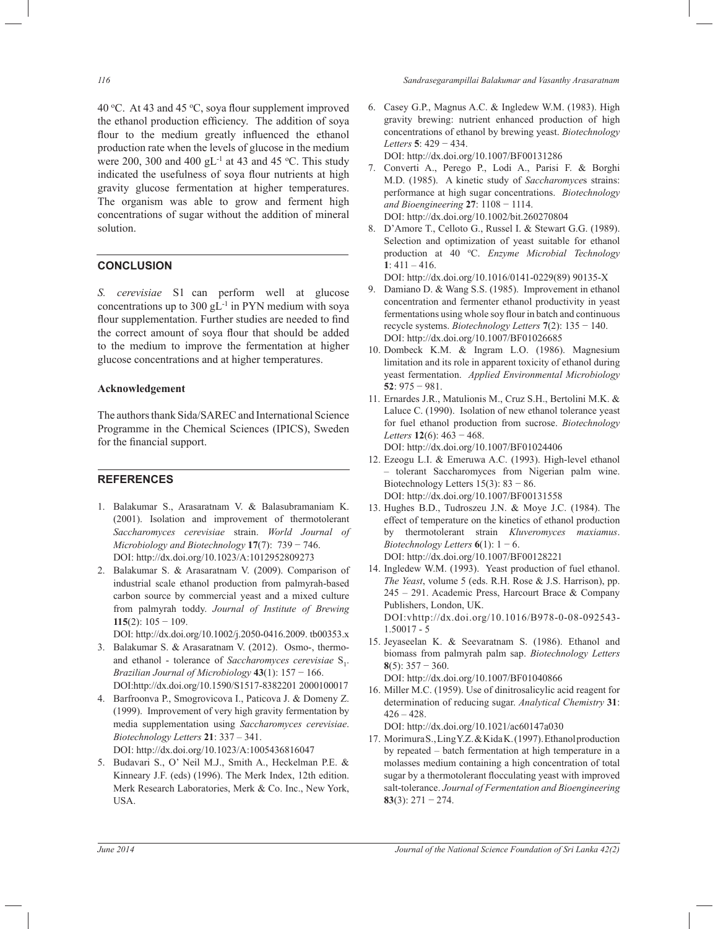40 °C. At 43 and 45 °C, soya flour supplement improved the ethanol production efficiency. The addition of soya flour to the medium greatly influenced the ethanol production rate when the levels of glucose in the medium were 200, 300 and 400 gL<sup>-1</sup> at 43 and 45 °C. This study indicated the usefulness of soya flour nutrients at high gravity glucose fermentation at higher temperatures. The organism was able to grow and ferment high concentrations of sugar without the addition of mineral solution.

# **CONCLUSION**

*S. cerevisiae* S1 can perform well at glucose concentrations up to 300  $gL^{-1}$  in PYN medium with soya flour supplementation. Further studies are needed to find the correct amount of soya flour that should be added to the medium to improve the fermentation at higher glucose concentrations and at higher temperatures.

## **Acknowledgement**

The authors thank Sida/SAREC and International Science Programme in the Chemical Sciences (IPICS), Sweden for the financial support.

## **REFERENCES**

- 1. Balakumar S., Arasaratnam V. & Balasubramaniam K. (2001). Isolation and improvement of thermotolerant *Saccharomyces cerevisiae* strain. *World Journal of Microbiology and Biotechnology* **17**(7):739 − 746. DOI: http://dx.doi.org/10.1023/A:1012952809273
- 2. Balakumar S. & Arasaratnam V. (2009). Comparison of industrial scale ethanol production from palmyrah-based carbon source by commercial yeast and a mixed culture from palmyrah toddy. *Journal of Institute of Brewing* **115**(2): 105 − 109.

DOI: http://dx.doi.org/10.1002/j.2050-0416.2009. tb00353.x

- 3. Balakumar S. & Arasaratnam V. (2012). Osmo-, thermoand ethanol - tolerance of *Saccharomyces cerevisiae* S<sub>1</sub>. *Brazilian Journal of Microbiology* **43**(1): 157 − 166. DOI:http://dx.doi.org/10.1590/S1517-8382201 2000100017
- 4. Barfroonva P., Smogrovicova I., Paticova J. & Domeny Z. (1999). Improvement of very high gravity fermentation by media supplementation using *Saccharomyces cerevisiae*. *Biotechnology Letters* **21**: 337 – 341. DOI: http://dx.doi.org/10.1023/A:1005436816047
- 5. Budavari S., O' Neil M.J., Smith A., Heckelman P.E. & Kinneary J.F. (eds) (1996). The Merk Index, 12th edition. Merk Research Laboratories, Merk & Co. Inc., New York, USA.

*116 Sandrasegarampillai Balakumar and Vasanthy Arasaratnam*

6. Casey G.P., Magnus A.C. & Ingledew W.M. (1983). High gravity brewing: nutrient enhanced production of high concentrations of ethanol by brewing yeast. *Biotechnology Letters* **5**: 429 − 434.

DOI: http://dx.doi.org/10.1007/BF00131286

- 7. Converti A., Perego P., Lodi A., Parisi F. & Borghi M.D. (1985). A kinetic study of *Saccharomyce*s strains: performance at high sugar concentrations. *Biotechnology and Bioengineering* **27**: 1108 − 1114. DOI: http://dx.doi.org/10.1002/bit.260270804
- 8. D'Amore T., Celloto G., Russel I. & Stewart G.G. (1989). Selection and optimization of yeast suitable for ethanol production at 40 °C. *Enzyme Microbial Technology* **1**: 411 – 416.

DOI: http://dx.doi.org/10.1016/0141-0229(89) 90135-X

- 9. Damiano D. & Wang S.S. (1985). Improvement in ethanol concentration and fermenter ethanol productivity in yeast fermentations using whole soy flour in batch and continuous recycle systems. *Biotechnology Letters* **7**(2): 135 − 140. DOI: http://dx.doi.org/10.1007/BF01026685
- 10. Dombeck K.M. & Ingram L.O. (1986). Magnesium limitation and its role in apparent toxicity of ethanol during yeast fermentation. *Applied Environmental Microbiology* **52**: 975 − 981.
- 11. Ernardes J.R., Matulionis M., Cruz S.H., Bertolini M.K. & Laluce C. (1990). Isolation of new ethanol tolerance yeast for fuel ethanol production from sucrose. *Biotechnology Letters* **12**(6): 463 − 468.

DOI: http://dx.doi.org/10.1007/BF01024406

- 12. Ezeogu L.I. & Emeruwa A.C. (1993). High-level ethanol – tolerant Saccharomyces from Nigerian palm wine. Biotechnology Letters  $15(3)$ : 83 – 86. DOI: http://dx.doi.org/10.1007/BF00131558
- 13. Hughes B.D., Tudroszeu J.N. & Moye J.C. (1984). The effect of temperature on the kinetics of ethanol production by thermotolerant strain *Kluveromyces maxiamus*. *Biotechnology Letters*  $6(1)$ : 1 − 6. DOI: http://dx.doi.org/10.1007/BF00128221
- 14. Ingledew W.M. (1993). Yeast production of fuel ethanol. *The Yeast*, volume 5 (eds. R.H. Rose & J.S. Harrison), pp. 245 – 291. Academic Press, Harcourt Brace & Company Publishers, London, UK. DOI:vhttp://dx.doi.org/10.1016/B978-0-08-092543- 1.50017 - 5
- 15. Jeyaseelan K. & Seevaratnam S. (1986). Ethanol and biomass from palmyrah palm sap. *Biotechnology Letters* **8**(5): 357 − 360. DOI: http://dx.doi.org/10.1007/BF01040866
- 16. Miller M.C. (1959). Use of dinitrosalicylic acid reagent for determination of reducing sugar. *Analytical Chemistry* **31**:  $426 - 428$ .

DOI: http://dx.doi.org/10.1021/ac60147a030

17. Morimura S., Ling Y.Z. & Kida K. (1997). Ethanol production by repeated – batch fermentation at high temperature in a molasses medium containing a high concentration of total sugar by a thermotolerant flocculating yeast with improved salt-tolerance. *Journal of Fermentation and Bioengineering* **83**(3): 271 − 274.